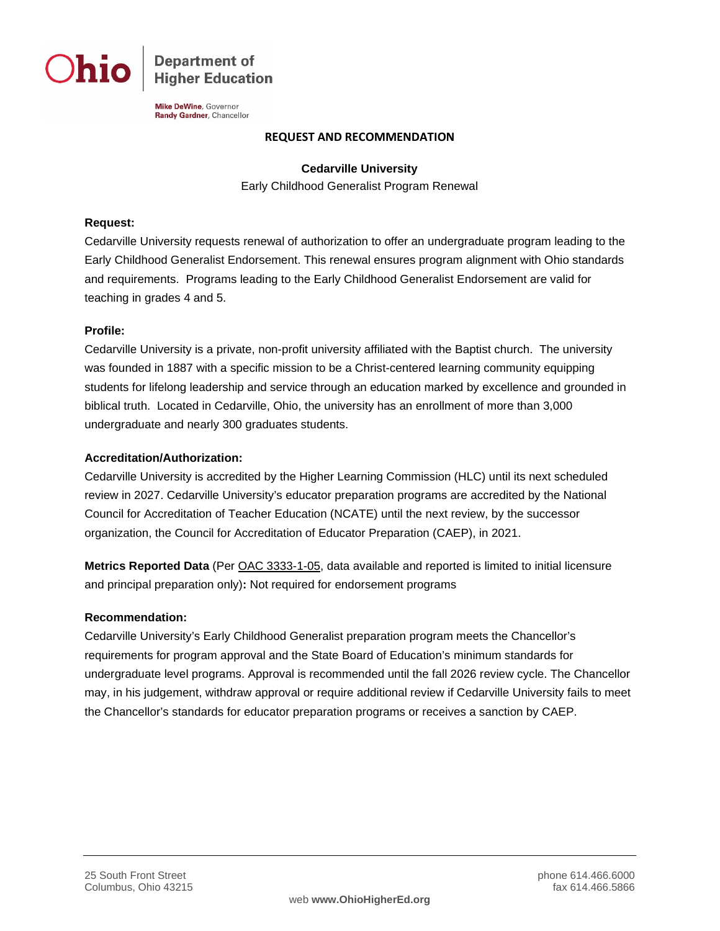**Department of Higher Education** 

Mike DeWine, Governor Randy Gardner, Chancellor

### **REQUEST AND RECOMMENDATION**

**Cedarville University** Early Childhood Generalist Program Renewal

# **Request:**

Cedarville University requests renewal of authorization to offer an undergraduate program leading to the Early Childhood Generalist Endorsement. This renewal ensures program alignment with Ohio standards and requirements. Programs leading to the Early Childhood Generalist Endorsement are valid for teaching in grades 4 and 5.

## **Profile:**

Cedarville University is a private, non-profit university affiliated with the Baptist church. The university was founded in 1887 with a specific mission to be a Christ-centered learning community equipping students for lifelong leadership and service through an education marked by excellence and grounded in biblical truth. Located in Cedarville, Ohio, the university has an enrollment of more than 3,000 undergraduate and nearly 300 graduates students.

## **Accreditation/Authorization:**

Cedarville University is accredited by the Higher Learning Commission (HLC) until its next scheduled review in 2027. Cedarville University's educator preparation programs are accredited by the National Council for Accreditation of Teacher Education (NCATE) until the next review, by the successor organization, the Council for Accreditation of Educator Preparation (CAEP), in 2021.

**Metrics Reported Data** (Per [OAC 3333-1-05,](http://codes.ohio.gov/oac/3333-1-05) data available and reported is limited to initial licensure and principal preparation only)**:** Not required for endorsement programs

### **Recommendation:**

Cedarville University's Early Childhood Generalist preparation program meets the Chancellor's requirements for program approval and the State Board of Education's minimum standards for undergraduate level programs. Approval is recommended until the fall 2026 review cycle. The Chancellor may, in his judgement, withdraw approval or require additional review if Cedarville University fails to meet the Chancellor's standards for educator preparation programs or receives a sanction by CAEP.